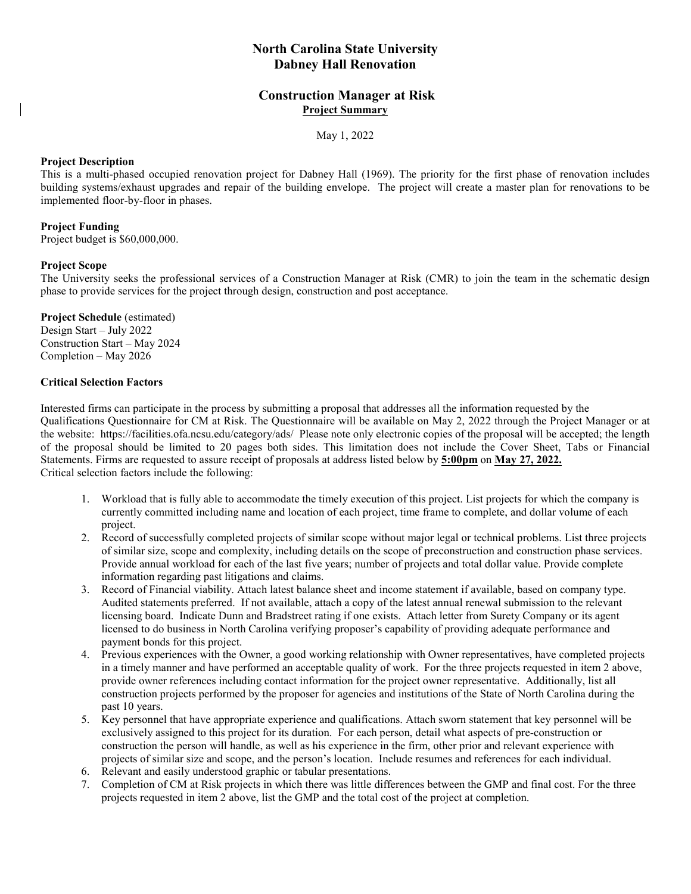# **North Carolina State University Dabney Hall Renovation**

# **Construction Manager at Risk Project Summary**

May 1, 2022

# **Project Description**

This is a multi-phased occupied renovation project for Dabney Hall (1969). The priority for the first phase of renovation includes building systems/exhaust upgrades and repair of the building envelope. The project will create a master plan for renovations to be implemented floor-by-floor in phases.

# **Project Funding**

Project budget is \$60,000,000.

#### **Project Scope**

The University seeks the professional services of a Construction Manager at Risk (CMR) to join the team in the schematic design phase to provide services for the project through design, construction and post acceptance.

**Project Schedule** (estimated) Design Start – July 2022 Construction Start – May 2024 Completion – May 2026

# **Critical Selection Factors**

Interested firms can participate in the process by submitting a proposal that addresses all the information requested by the Qualifications Questionnaire for CM at Risk. The Questionnaire will be available on May 2, 2022 through the Project Manager or at the website: https://facilities.ofa.ncsu.edu/category/ads/ Please note only electronic copies of the proposal will be accepted; the length of the proposal should be limited to 20 pages both sides. This limitation does not include the Cover Sheet, Tabs or Financial Statements. Firms are requested to assure receipt of proposals at address listed below by **5:00pm** on **May 27, 2022.** Critical selection factors include the following:

- 1. Workload that is fully able to accommodate the timely execution of this project. List projects for which the company is currently committed including name and location of each project, time frame to complete, and dollar volume of each project.
- 2. Record of successfully completed projects of similar scope without major legal or technical problems. List three projects of similar size, scope and complexity, including details on the scope of preconstruction and construction phase services. Provide annual workload for each of the last five years; number of projects and total dollar value. Provide complete information regarding past litigations and claims.
- 3. Record of Financial viability. Attach latest balance sheet and income statement if available, based on company type. Audited statements preferred. If not available, attach a copy of the latest annual renewal submission to the relevant licensing board. Indicate Dunn and Bradstreet rating if one exists. Attach letter from Surety Company or its agent licensed to do business in North Carolina verifying proposer's capability of providing adequate performance and payment bonds for this project.
- 4. Previous experiences with the Owner, a good working relationship with Owner representatives, have completed projects in a timely manner and have performed an acceptable quality of work. For the three projects requested in item 2 above, provide owner references including contact information for the project owner representative. Additionally, list all construction projects performed by the proposer for agencies and institutions of the State of North Carolina during the past 10 years.
- 5. Key personnel that have appropriate experience and qualifications. Attach sworn statement that key personnel will be exclusively assigned to this project for its duration. For each person, detail what aspects of pre-construction or construction the person will handle, as well as his experience in the firm, other prior and relevant experience with projects of similar size and scope, and the person's location. Include resumes and references for each individual.
- 6. Relevant and easily understood graphic or tabular presentations.
- 7. Completion of CM at Risk projects in which there was little differences between the GMP and final cost. For the three projects requested in item 2 above, list the GMP and the total cost of the project at completion.